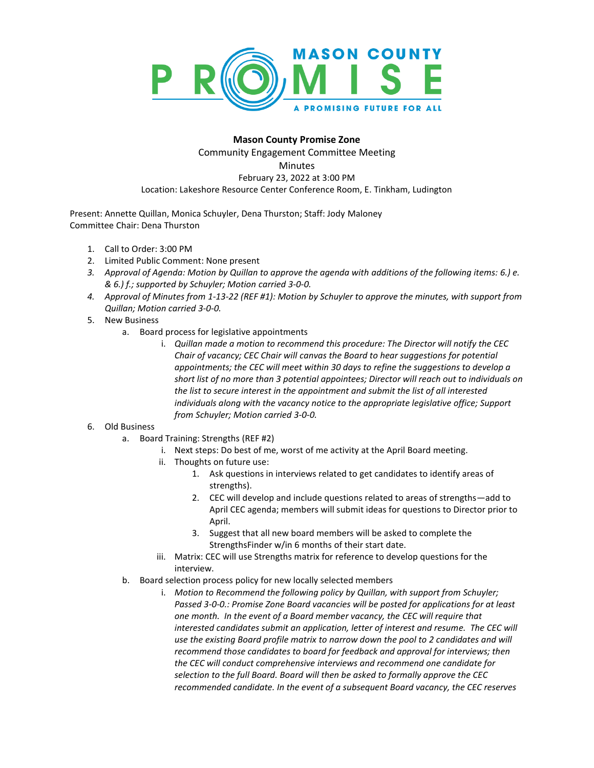

## **Mason County Promise Zone**

Community Engagement Committee Meeting **Minutes** February 23, 2022 at 3:00 PM Location: Lakeshore Resource Center Conference Room, E. Tinkham, Ludington

Present: Annette Quillan, Monica Schuyler, Dena Thurston; Staff: Jody Maloney Committee Chair: Dena Thurston

- 1. Call to Order: 3:00 PM
- 2. Limited Public Comment: None present
- *3. Approval of Agenda: Motion by Quillan to approve the agenda with additions of the following items: 6.) e. & 6.) f.; supported by Schuyler; Motion carried 3-0-0.*
- *4. Approval of Minutes from 1-13-22 (REF #1): Motion by Schuyler to approve the minutes, with support from Quillan; Motion carried 3-0-0.*
- 5. New Business
	- a. Board process for legislative appointments
		- i. *Quillan made a motion to recommend this procedure: The Director will notify the CEC Chair of vacancy; CEC Chair will canvas the Board to hear suggestions for potential appointments; the CEC will meet within 30 days to refine the suggestions to develop a short list of no more than 3 potential appointees; Director will reach out to individuals on the list to secure interest in the appointment and submit the list of all interested individuals along with the vacancy notice to the appropriate legislative office; Support from Schuyler; Motion carried 3-0-0.*

## 6. Old Business

- a. Board Training: Strengths (REF #2)
	- i. Next steps: Do best of me, worst of me activity at the April Board meeting.
	- ii. Thoughts on future use:
		- 1. Ask questions in interviews related to get candidates to identify areas of strengths).
		- 2. CEC will develop and include questions related to areas of strengths—add to April CEC agenda; members will submit ideas for questions to Director prior to April.
		- 3. Suggest that all new board members will be asked to complete the StrengthsFinder w/in 6 months of their start date.
	- iii. Matrix: CEC will use Strengths matrix for reference to develop questions for the interview.
- b. Board selection process policy for new locally selected members
	- i. *Motion to Recommend the following policy by Quillan, with support from Schuyler; Passed 3-0-0.: Promise Zone Board vacancies will be posted for applications for at least one month. In the event of a Board member vacancy, the CEC will require that interested candidates submit an application, letter of interest and resume. The CEC will use the existing Board profile matrix to narrow down the pool to 2 candidates and will recommend those candidates to board for feedback and approval for interviews; then the CEC will conduct comprehensive interviews and recommend one candidate for selection to the full Board. Board will then be asked to formally approve the CEC recommended candidate. In the event of a subsequent Board vacancy, the CEC reserves*